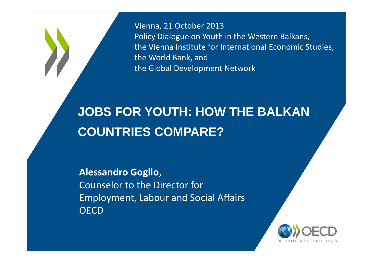Vienna, 21 October 2013 Policy Dialogue on Youth in the Western Balkans, the Vienna Institute for International Economic Studies, the World Bank, and the Global Development Network

## **JOBS FOR YOUTH: HOW THE BALKAN COUNTRIES COMPARE?**

**Alessandro Goglio**,Counselor to the Director forEmployment, Labour and Social Affairs**OECD** 

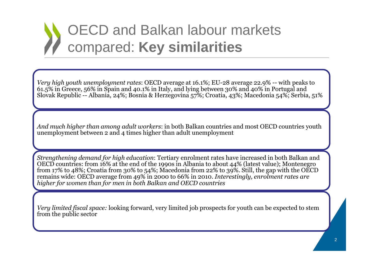

*Very high youth unemployment rates*: OECD average at 16.1%; EU-28 average 22.9% -- with peaks to 61.5% in Greece, 56% in Spain and 40.1% in Italy, and lying between 30% and 40% in Portugal and Slovak Republic -- Albania, 24%; Bosnia & Herzegovina 57%; Croatia, 43%; Macedonia 54%; Serbia, 51%

*And much higher than among adult workers*: in both Balkan countries and most OECD countries youth unemployment between 2 and 4 times higher than adult unemployment

*Strengthening demand for high education*: Tertiary enrolment rates have increased in both Balkan and OECD countries: from 16% at the end of the 1990s in Albania to about 44% (latest value); Montenegro from 17% to 48%; Croatia from 30% to 54%; Macedonia from 22% to 39%. Still, the gap with the OECD remains wide: OECD average from 49% in 2000 to 66% in 2010. *Interestingly, enrolment rates are higher for women than for men in both Balkan and OECD countries*

*Very limited fiscal space:* looking forward, very limited job prospects for youth can be expected to stem from the public sector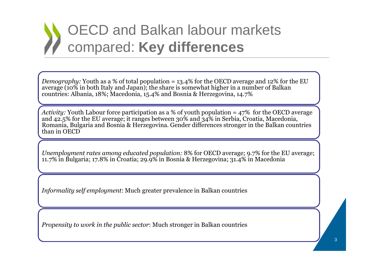

*Demography:* Youth as a % of total population = 13.4% for the OECD average and 12% for the EU average (10% in both Italy and Japan); the share is somewhat higher in a number of Balkan countries: Albania, 18%; Macedonia, 15.4% and Bosnia & Herzegovina, 14.7%

*Activity:* Youth Labour force participation as a % of youth population = 47% for the OECD average and 42.5% for the EU average; it ranges between 30% and 34% in Serbia, Croatia, Macedonia, Romania, Bulgaria and Bosnia & Herzegovina. Gender differences stronger in the Balkan countries than in OECD

*Unemployment rates among educated population:* 8% for OECD average; 9.7% for the EU average; 11.7% in Bulgaria; 17.8% in Croatia; 29.9% in Bosnia & Herzegovina; 31.4% in Macedonia

*Informality self employment*: Much greater prevalence in Balkan countries

*Propensity to work in the public sector*: Much stronger in Balkan countries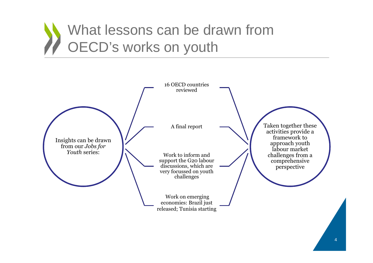

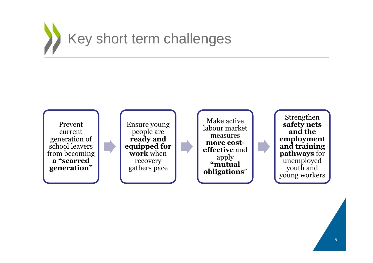

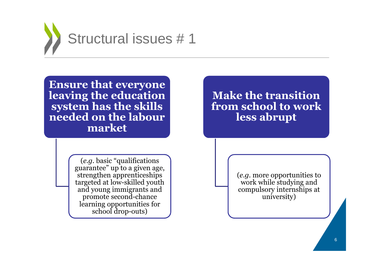

**Ensure that everyone leaving the education system has the skills needed on the labour market** 

**Make the transition from school to work less abrupt**

(*e.g.* basic "qualifications guarantee" up to a given age, strengthen apprenticeships targeted at low-skilled youth and young immigrants and promote second-chance learning opportunities for school drop-outs)

(*e.g.* more opportunities to work while studying and compulsory internships at university)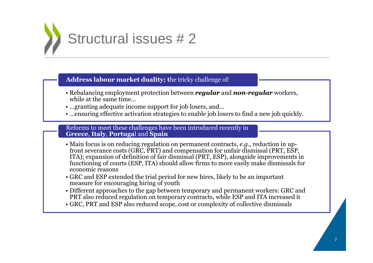

**Address labour market duality; t**he tricky challenge of:

- Rebalancing employment protection between *regular* and *non-regular* workers, while at the same time…
- …granting adequate income support for job losers, and…<br>• …ensuring effective activation strategies to enable job los
- …ensuring effective activation strategies to enable job losers to find a new job quickly.

Reforms to meet these challenges have been introduced recently in **Greece**, **Italy**, **Portuga**l and **Spain**

- Main focus is on reducing regulation on permanent contracts, e.g., reduction in up- Main focus is on reducing regulation on permanent contracts, *e.g.*, reduction in up-front severance costs (GRC, PRT) and compensation for unfair dismissal (PRT, ESP, ITA); expansion of definition of fair dismissal (PRT, ESP), alongside improvements in functioning of courts (ESP, ITA) should allow firms to more easily make dismissals for economic reasons
- GRC and ESP extended the trial period for new hires, likely to be an important measure for encouraging hiring of youth
- Different approaches to the gap between temporary and permanent workers: GRC and<br>PRT also reduced regulation on temporary contracts, while ESP and ITA increased it PRT also reduced regulation on temporary contracts, while ESP and ITA increased it
- GRC, PRT and ESP also reduced scope, cost or complexity of collective dismissals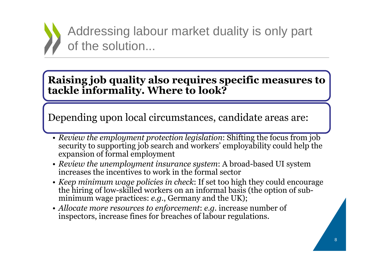

Addressing labour market duality is only part of the solution...

### **Raising job quality also requires specific measures totackle informality. Where to look?**

Depending upon local circumstances, candidate areas are:

- *Review the employment protection legislation*: Shifting the focus from job security to supporting job search and workers' employability could help the expansion of formal employment
- *Review the unemployment insurance system*: A broad-based UI system increases the incentives to work in the formal sector
- *Keep minimum wage policies in check*: If set too high they could encourage the hiring of low-skilled workers on an informal basis (the option of subminimum wage practices: *e.g.*, Germany and the UK);
- *Allocate more resources to enforcement*: *e.g.* increase number of inspectors, increase fines for breaches of labour regulations.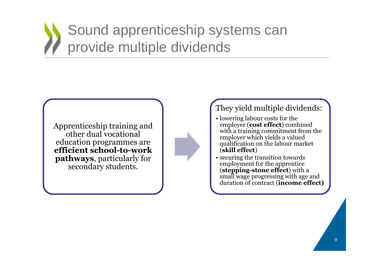# Sound apprenticeship systems can provide multiple dividends

Apprenticeship training and other dual vocational education programmes are **efficient school-to-work pathways**, particularly for secondary students.



#### They yield multiple dividends:

- lowering labour costs for the lowering labour costs for the employer (**cost effect**) combined with a training commitment from the employer which yields a valued qualification on the labour market (**skill effect**)
- securing the transition towards employment for the apprentice (**stepping-stone effect**) with a small wage progressing with age and duration of contract (**income effect)**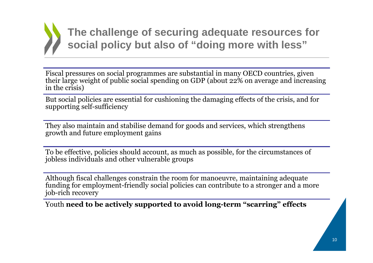

**The challenge of securing adequate resources for social policy but also of "doing more with less"**

Fiscal pressures on social programmes are substantial in many OECD countries, given their large weight of public social spending on GDP (about 22% on average and increasing in the crisis)

But social policies are essential for cushioning the damaging effects of the crisis, and for supporting self-sufficiency

They also maintain and stabilise demand for goods and services, which strengthens growth and future employment gains

To be effective, policies should account, as much as possible, for the circumstances of jobless individuals and other vulnerable groups

Although fiscal challenges constrain the room for manoeuvre, maintaining adequate funding for employment-friendly social policies can contribute to a stronger and a more job-rich recovery

Youth **need to be actively supported to avoid long-term "scarring" effects**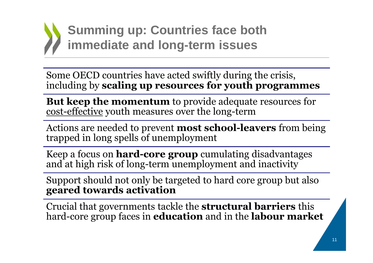

Some OECD countries have acted swiftly during the crisis, including by **scaling up resources for youth programmes**

**But keep the momentum** to provide adequate resources for<br>cost-effective vouth measures over the long-term cost-effective youth measures over the long-term

Actions are needed to prevent **most school-leavers** from being trapped in long spells of unemployment

Keep a focus on **hard-core group** cumulating disadvantages and at high risk of long-term unemployment and inactivity

Support should not only be targeted to hard core group but also **geared towards activation**

Crucial that governments tackle the **structural barriers** this hard-core group faces in **education** and in the **labour market**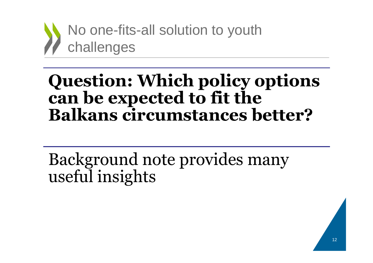

# **Question: Which policy options can be expected to fit the Balkans circumstances better?**

Background note provides many useful insights